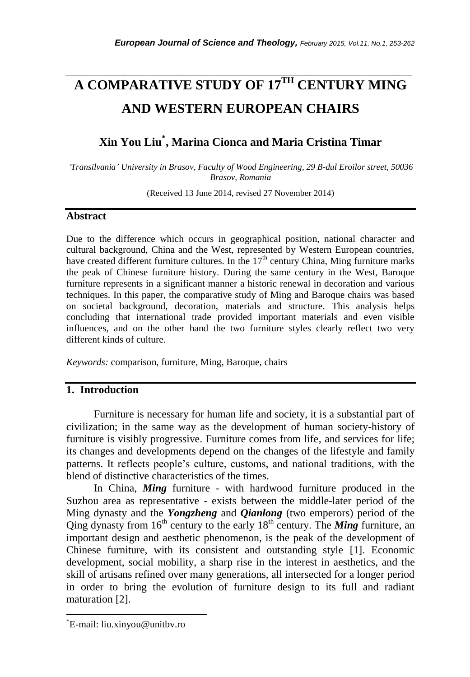# *\_\_\_\_\_\_\_\_\_\_\_\_\_\_\_\_\_\_\_\_\_\_\_\_\_\_\_\_\_\_\_\_\_\_\_\_\_\_\_\_\_\_\_\_\_\_\_\_\_\_\_\_\_\_\_\_\_\_\_\_\_\_\_\_\_\_\_\_\_\_\_* **A COMPARATIVE STUDY OF 17TH CENTURY MING AND WESTERN EUROPEAN CHAIRS**

## **Xin You Liu\* , Marina Cionca and Maria Cristina Timar**

*'Transilvania' University in Brasov, Faculty of Wood Engineering, 29 B-dul Eroilor street, 50036 Brasov, Romania*

(Received 13 June 2014, revised 27 November 2014)

#### **Abstract**

Due to the difference which occurs in geographical position, national character and cultural background, China and the West, represented by Western European countries, have created different furniture cultures. In the  $17<sup>th</sup>$  century China, Ming furniture marks the peak of Chinese furniture history. During the same century in the West, Baroque furniture represents in a significant manner a historic renewal in decoration and various techniques. In this paper, the comparative study of Ming and Baroque chairs was based on societal background, decoration, materials and structure. This analysis helps concluding that international trade provided important materials and even visible influences, and on the other hand the two furniture styles clearly reflect two very different kinds of culture.

*Keywords:* comparison, furniture, Ming, Baroque, chairs

### **1. Introduction**

Furniture is necessary for human life and society, it is a substantial part of civilization; in the same way as the development of human society-history of furniture is visibly progressive. Furniture comes from life, and services for life; its changes and developments depend on the changes of the lifestyle and family patterns. It reflects people"s culture, customs, and national traditions, with the blend of distinctive characteristics of the times.

In China, *Ming* furniture - with hardwood furniture produced in the Suzhou area as representative - exists between the middle-later period of the Ming dynasty and the *Yongzheng* and *Qianlong* (two emperors) period of the Qing dynasty from  $16<sup>th</sup>$  century to the early  $18<sup>th</sup>$  century. The **Ming** furniture, an important design and aesthetic phenomenon, is the peak of the development of Chinese furniture, with its consistent and outstanding style [1]. Economic development, social mobility, a sharp rise in the interest in aesthetics, and the skill of artisans refined over many generations, all intersected for a longer period in order to bring the evolution of furniture design to its full and radiant maturation [2].

l

<sup>\*</sup>E-mail: liu.xinyou@unitbv.ro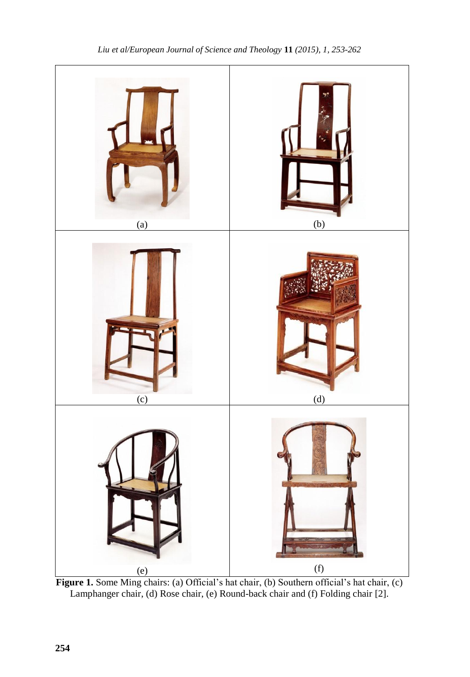

Figure 1. Some Ming chairs: (a) Official's hat chair, (b) Southern official's hat chair, (c) Lamphanger chair, (d) Rose chair, (e) Round-back chair and (f) Folding chair [2].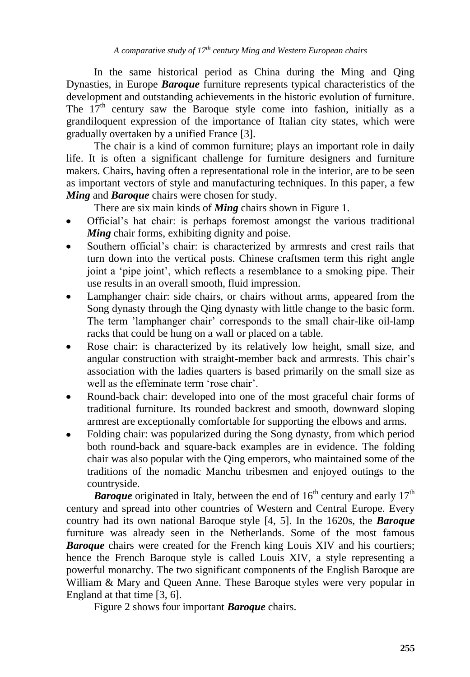In the same historical period as China during the Ming and Qing Dynasties, in Europe *Baroque* furniture represents typical characteristics of the development and outstanding achievements in the historic evolution of furniture. The  $17<sup>th</sup>$  century saw the Baroque style come into fashion, initially as a grandiloquent expression of the importance of Italian city states, which were gradually overtaken by a unified France [3].

The chair is a kind of common furniture; plays an important role in daily life. It is often a significant challenge for furniture designers and furniture makers. Chairs, having often a representational role in the interior, are to be seen as important vectors of style and manufacturing techniques. In this paper, a few *Ming* and *Baroque* chairs were chosen for study.

There are six main kinds of *Ming* chairs shown in Figure 1.

- Official"s hat chair: is perhaps foremost amongst the various traditional *Ming* chair forms, exhibiting dignity and poise.
- Southern official's chair: is characterized by armrests and crest rails that turn down into the vertical posts. Chinese craftsmen term this right angle joint a "pipe joint", which reflects a resemblance to a smoking pipe. Their use results in an overall smooth, fluid impression.
- Lamphanger chair: side chairs, or chairs without arms, appeared from the Song dynasty through the Qing dynasty with little change to the basic form. The term "lamphanger chair" corresponds to the small chair-like oil-lamp racks that could be hung on a wall or placed on a table.
- Rose chair: is characterized by its relatively low height, small size, and angular construction with straight-member back and armrests. This chair"s association with the ladies quarters is based primarily on the small size as well as the effeminate term 'rose chair'.
- Round-back chair: developed into one of the most graceful chair forms of  $\bullet$ traditional furniture. Its rounded backrest and smooth, downward sloping armrest are exceptionally comfortable for supporting the elbows and arms.
- Folding chair: was popularized during the Song dynasty, from which period both round-back and square-back examples are in evidence. The folding chair was also popular with the Qing emperors, who maintained some of the traditions of the nomadic Manchu tribesmen and enjoyed outings to the countryside.

**Baroque** originated in Italy, between the end of  $16<sup>th</sup>$  century and early  $17<sup>th</sup>$ century and spread into other countries of Western and Central Europe. Every country had its own national Baroque style [4, 5]. In the 1620s, the *Baroque* furniture was already seen in the Netherlands. Some of the most famous **Baroque** chairs were created for the French king Louis XIV and his courtiers; hence the French Baroque style is called Louis XIV, a style representing a powerful monarchy. The two significant components of the English Baroque are William & Mary and Queen Anne. These Baroque styles were very popular in England at that time [3, 6].

Figure 2 shows four important *Baroque* chairs.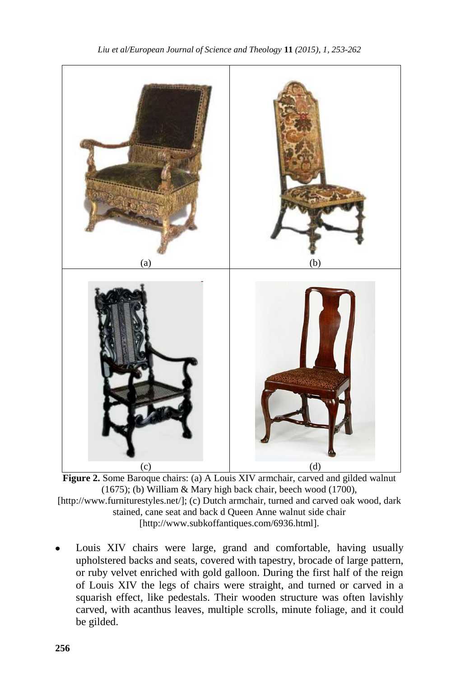

**Figure 2.** Some Baroque chairs: (a) A Louis XIV armchair, carved and gilded walnut (1675); (b) William & Mary high back chair, beech wood (1700), [\[http://www.furniturestyles.net/\]](http://www.furniturestyles.net/); (c) Dutch armchair, turned and carved oak wood, dark stained, cane seat and back d Queen Anne walnut side chair [\[http://www.subkoffantiques.com/6936.html\]](http://www.subkoffantiques.com/6936.html).

Louis XIV chairs were large, grand and comfortable, having usually upholstered backs and seats, covered with tapestry, brocade of large pattern, or ruby velvet enriched with gold galloon. During the first half of the reign of Louis XIV the legs of chairs were straight, and turned or carved in a squarish effect, like pedestals. Their wooden structure was often lavishly carved, with acanthus leaves, multiple scrolls, minute foliage, and it could be gilded.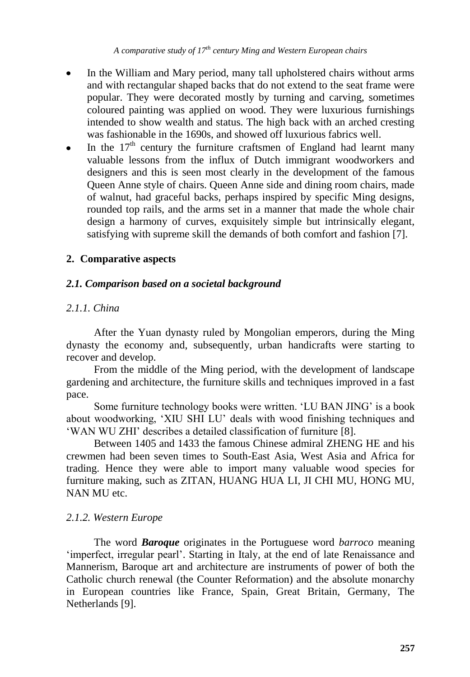*A comparative study of 17th century Ming and Western European chairs*

- In the William and Mary period, many tall upholstered chairs without arms and with rectangular shaped backs that do not extend to the seat frame were popular. They were decorated mostly by turning and carving, sometimes coloured painting was applied on wood. They were luxurious furnishings intended to show wealth and status. The high back with an arched cresting was fashionable in the 1690s, and showed off luxurious fabrics well.
- In the  $17<sup>th</sup>$  century the furniture craftsmen of England had learnt many  $\bullet$ valuable lessons from the influx of Dutch immigrant woodworkers and designers and this is seen most clearly in the development of the famous Queen Anne style of chairs. Queen Anne side and dining room chairs, made of walnut, had graceful backs, perhaps inspired by specific Ming designs, rounded top rails, and the arms set in a manner that made the whole chair design a harmony of curves, exquisitely simple but intrinsically elegant, satisfying with supreme skill the demands of both comfort and fashion [7].

### **2. Comparative aspects**

#### *2.1. Comparison based on a societal background*

#### *2.1.1. China*

After the Yuan dynasty ruled by Mongolian emperors, during the Ming dynasty the economy and, subsequently, urban handicrafts were starting to recover and develop.

From the middle of the Ming period, with the development of landscape gardening and architecture, the furniture skills and techniques improved in a fast pace.

Some furniture technology books were written. "LU BAN JING" is a book about woodworking, "XIU SHI LU" deals with wood finishing techniques and "WAN WU ZHI" describes a detailed classification of furniture [8].

Between 1405 and 1433 the famous Chinese admiral ZHENG HE and his crewmen had been seven times to South-East Asia, West Asia and Africa for trading. Hence they were able to import many valuable wood species for furniture making, such as ZITAN, HUANG HUA LI, JI CHI MU, HONG MU, NAN MU etc.

#### *2.1.2. Western Europe*

The word *Baroque* originates in the Portuguese word *barroco* meaning "imperfect, irregular pearl". Starting in Italy, at the end of late Renaissance and Mannerism, Baroque art and architecture are instruments of power of both the Catholic church renewal (the Counter Reformation) and the absolute monarchy in European countries like France, Spain, Great Britain, Germany, The Netherlands [9].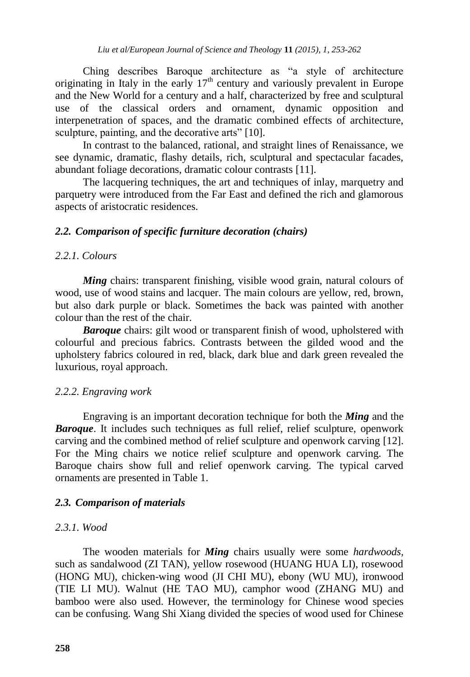Ching describes Baroque architecture as "a style of architecture originating in Italy in the early  $17<sup>th</sup>$  century and variously prevalent in Europe and the New World for a century and a half, characterized by free and sculptural use of the classical orders and ornament, dynamic opposition and interpenetration of spaces, and the dramatic combined effects of architecture, sculpture, painting, and the decorative arts" [10].

In contrast to the balanced, rational, and straight lines of Renaissance, we see dynamic, dramatic, flashy details, rich, sculptural and spectacular facades, abundant foliage decorations, dramatic colour contrasts [11].

The lacquering techniques, the art and techniques of inlay, marquetry and parquetry were introduced from the Far East and defined the rich and glamorous aspects of aristocratic residences.

### *2.2. Comparison of specific furniture decoration (chairs)*

#### *2.2.1. Colours*

*Ming* chairs: transparent finishing, visible wood grain, natural colours of wood, use of wood stains and lacquer. The main colours are yellow, red, brown, but also dark purple or black. Sometimes the back was painted with another colour than the rest of the chair.

**Baroque** chairs: gilt wood or transparent finish of wood, upholstered with colourful and precious fabrics. Contrasts between the gilded wood and the upholstery fabrics coloured in red, black, dark blue and dark green revealed the luxurious, royal approach.

### *2.2.2. Engraving work*

Engraving is an important decoration technique for both the *Ming* and the **Baroque**. It includes such techniques as full relief, relief sculpture, openwork carving and the combined method of relief sculpture and openwork carving [12]. For the Ming chairs we notice relief sculpture and openwork carving. The Baroque chairs show full and relief openwork carving. The typical carved ornaments are presented in Table 1.

### *2.3. Comparison of materials*

### *2.3.1. Wood*

The wooden materials for *Ming* chairs usually were some *hardwoods,*  such as sandalwood (ZI TAN), yellow rosewood (HUANG HUA LI), rosewood (HONG MU), chicken-wing wood (JI CHI MU), ebony (WU MU), ironwood (TIE LI MU). Walnut (HE TAO MU), camphor wood (ZHANG MU) and bamboo were also used. However, the terminology for Chinese wood species can be confusing. Wang Shi Xiang divided the species of wood used for Chinese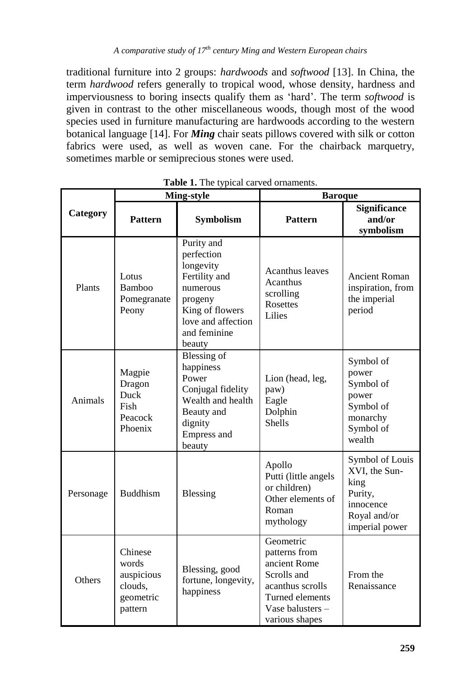traditional furniture into 2 groups: *hardwoods* and *softwood* [13]. In China, the term *hardwood* refers generally to tropical wood, whose density, hardness and imperviousness to boring insects qualify them as "hard". The term *softwood* is given in contrast to the other miscellaneous woods, though most of the wood species used in furniture manufacturing are hardwoods according to the western botanical language [14]. For *Ming* chair seats pillows covered with silk or cotton fabrics were used, as well as woven cane. For the chairback marquetry, sometimes marble or semiprecious stones were used.

| Category  | <b>Ming-style</b>                                                 |                                                                                                                                                  | <b>Baroque</b>                                                                                                                         |                                                                                                    |
|-----------|-------------------------------------------------------------------|--------------------------------------------------------------------------------------------------------------------------------------------------|----------------------------------------------------------------------------------------------------------------------------------------|----------------------------------------------------------------------------------------------------|
|           | <b>Pattern</b>                                                    | <b>Symbolism</b>                                                                                                                                 | <b>Pattern</b>                                                                                                                         | <b>Significance</b><br>and/or<br>symbolism                                                         |
| Plants    | Lotus<br>Bamboo<br>Pomegranate<br>Peony                           | Purity and<br>perfection<br>longevity<br>Fertility and<br>numerous<br>progeny<br>King of flowers<br>love and affection<br>and feminine<br>beauty | <b>Acanthus leaves</b><br>Acanthus<br>scrolling<br><b>Rosettes</b><br>Lilies                                                           | <b>Ancient Roman</b><br>inspiration, from<br>the imperial<br>period                                |
| Animals   | Magpie<br>Dragon<br>Duck<br>Fish<br>Peacock<br>Phoenix            | Blessing of<br>happiness<br>Power<br>Conjugal fidelity<br>Wealth and health<br>Beauty and<br>dignity<br><b>Empress and</b><br>beauty             | Lion (head, leg,<br>paw)<br>Eagle<br>Dolphin<br><b>Shells</b>                                                                          | Symbol of<br>power<br>Symbol of<br>power<br>Symbol of<br>monarchy<br>Symbol of<br>wealth           |
| Personage | <b>Buddhism</b>                                                   | Blessing                                                                                                                                         | Apollo<br>Putti (little angels<br>or children)<br>Other elements of<br>Roman<br>mythology                                              | Symbol of Louis<br>XVI, the Sun-<br>king<br>Purity,<br>innocence<br>Royal and/or<br>imperial power |
| Others    | Chinese<br>words<br>auspicious<br>clouds,<br>geometric<br>pattern | Blessing, good<br>fortune, longevity,<br>happiness                                                                                               | Geometric<br>patterns from<br>ancient Rome<br>Scrolls and<br>acanthus scrolls<br>Turned elements<br>Vase balusters –<br>various shapes | From the<br>Renaissance                                                                            |

**Table 1.** The typical carved ornaments.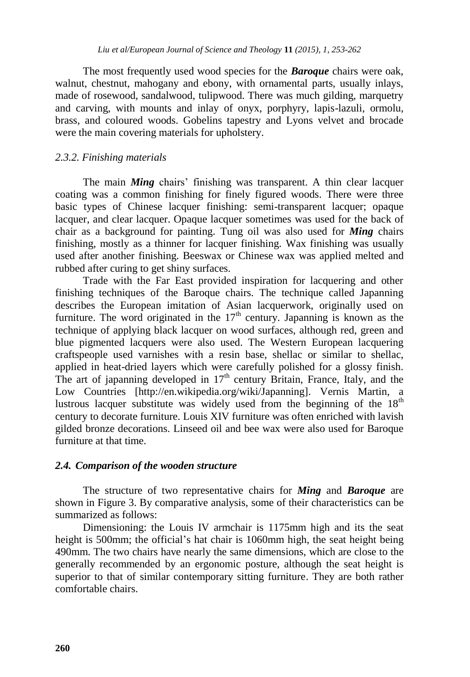The most frequently used wood species for the *Baroque* chairs were oak, walnut, chestnut, mahogany and ebony, with ornamental parts, usually inlays, made of rosewood, sandalwood, tulipwood. There was much gilding, marquetry and carving, with mounts and inlay of onyx, porphyry, lapis-lazuli, ormolu, brass, and coloured woods. Gobelins tapestry and Lyons velvet and brocade were the main covering materials for upholstery.

### *2.3.2. Finishing materials*

The main *Ming* chairs' finishing was transparent. A thin clear lacquer coating was a common finishing for finely figured woods. There were three basic types of Chinese lacquer finishing: semi-transparent lacquer; opaque lacquer, and clear lacquer. Opaque lacquer sometimes was used for the back of chair as a background for painting. Tung oil was also used for *Ming* chairs finishing, mostly as a thinner for lacquer finishing. Wax finishing was usually used after another finishing. Beeswax or Chinese wax was applied melted and rubbed after curing to get shiny surfaces.

Trade with the Far East provided inspiration for lacquering and other finishing techniques of the Baroque chairs. The technique called Japanning describes the European imitation of Asian lacquerwork, originally used on furniture. The word originated in the  $17<sup>th</sup>$  century. Japanning is known as the technique of applying black lacquer on wood surfaces, although red, green and blue pigmented lacquers were also used. The Western European lacquering craftspeople used varnishes with a resin base, shellac or similar to shellac, applied in heat-dried layers which were carefully polished for a glossy finish. The art of japanning developed in  $17<sup>th</sup>$  century Britain, France, Italy, and the Low Countries [\[http://en.wikipedia.org/wiki/Japanning\]](http://en.wikipedia.org/wiki/Japanning). Vernis Martin, a lustrous lacquer substitute was widely used from the beginning of the  $18<sup>th</sup>$ century to decorate furniture. Louis XIV furniture was often enriched with lavish gilded bronze decorations. Linseed oil and bee wax were also used for Baroque furniture at that time.

#### *2.4. Comparison of the wooden structure*

The structure of two representative chairs for *Ming* and *Baroque* are shown in Figure 3. By comparative analysis, some of their characteristics can be summarized as follows:

Dimensioning: the Louis IV armchair is 1175mm high and its the seat height is 500mm; the official's hat chair is 1060mm high, the seat height being 490mm. The two chairs have nearly the same dimensions, which are close to the generally recommended by an ergonomic posture, although the seat height is superior to that of similar contemporary sitting furniture. They are both rather comfortable chairs.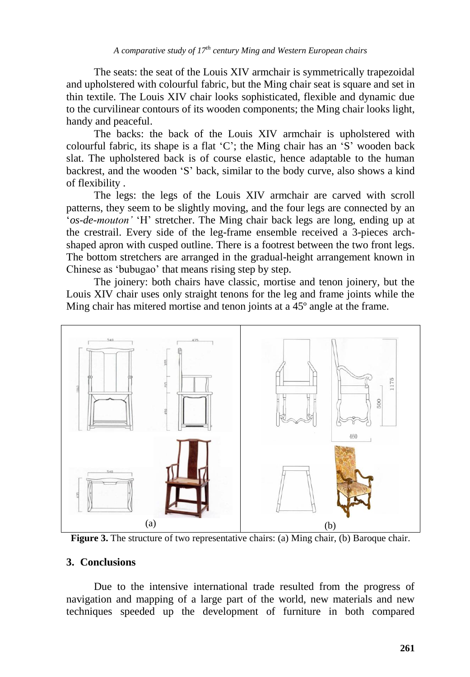The seats: the seat of the Louis XIV armchair is symmetrically trapezoidal and upholstered with colourful fabric, but the Ming chair seat is square and set in thin textile. The Louis XIV chair looks sophisticated, flexible and dynamic due to the curvilinear contours of its wooden components; the Ming chair looks light, handy and peaceful.

The backs: the back of the Louis XIV armchair is upholstered with colourful fabric, its shape is a flat "C"; the Ming chair has an "S" wooden back slat. The upholstered back is of course elastic, hence adaptable to the human backrest, and the wooden "S" back, similar to the body curve, also shows a kind of flexibility .

The legs: the legs of the Louis XIV armchair are carved with scroll patterns, they seem to be slightly moving, and the four legs are connected by an "*os-de-mouton'* "H" stretcher. The Ming chair back legs are long, ending up at the crestrail. Every side of the leg-frame ensemble received a 3-pieces archshaped apron with cusped outline. There is a footrest between the two front legs. The bottom stretchers are arranged in the gradual-height arrangement known in Chinese as "bubugao" that means rising step by step.

The joinery: both chairs have classic, mortise and tenon joinery, but the Louis XIV chair uses only straight tenons for the leg and frame joints while the Ming chair has mitered mortise and tenon joints at a 45<sup>°</sup> angle at the frame.



Figure 3. The structure of two representative chairs: (a) Ming chair, (b) Baroque chair.

#### **3. Conclusions**

Due to the intensive international trade resulted from the progress of navigation and mapping of a large part of the world, new materials and new techniques speeded up the development of furniture in both compared